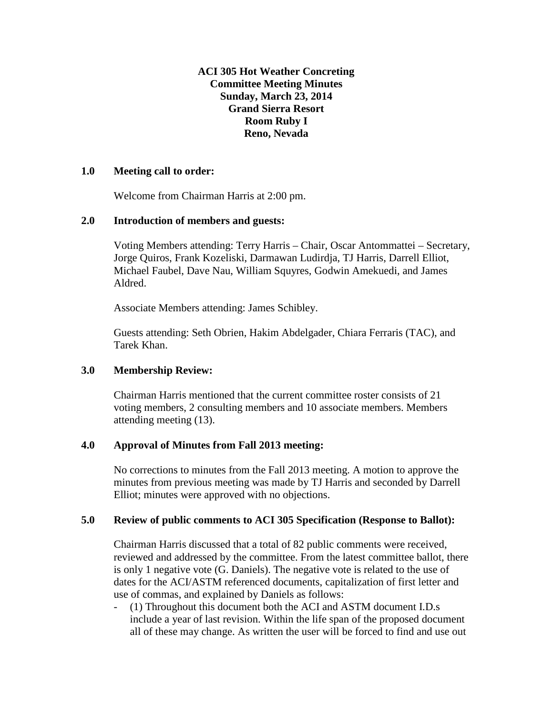**ACI 305 Hot Weather Concreting Committee Meeting Minutes Sunday, March 23, 2014 Grand Sierra Resort Room Ruby I Reno, Nevada**

#### **1.0 Meeting call to order:**

Welcome from Chairman Harris at 2:00 pm.

#### **2.0 Introduction of members and guests:**

Voting Members attending: Terry Harris – Chair, Oscar Antommattei – Secretary, Jorge Quiros, Frank Kozeliski, Darmawan Ludirdja, TJ Harris, Darrell Elliot, Michael Faubel, Dave Nau, William Squyres, Godwin Amekuedi, and James Aldred.

Associate Members attending: James Schibley.

Guests attending: Seth Obrien, Hakim Abdelgader, Chiara Ferraris (TAC), and Tarek Khan.

# **3.0 Membership Review:**

Chairman Harris mentioned that the current committee roster consists of 21 voting members, 2 consulting members and 10 associate members. Members attending meeting (13).

# **4.0 Approval of Minutes from Fall 2013 meeting:**

No corrections to minutes from the Fall 2013 meeting. A motion to approve the minutes from previous meeting was made by TJ Harris and seconded by Darrell Elliot; minutes were approved with no objections.

# **5.0 Review of public comments to ACI 305 Specification (Response to Ballot):**

Chairman Harris discussed that a total of 82 public comments were received, reviewed and addressed by the committee. From the latest committee ballot, there is only 1 negative vote (G. Daniels). The negative vote is related to the use of dates for the ACI/ASTM referenced documents, capitalization of first letter and use of commas, and explained by Daniels as follows:

- (1) Throughout this document both the ACI and ASTM document I.D.s include a year of last revision. Within the life span of the proposed document all of these may change. As written the user will be forced to find and use out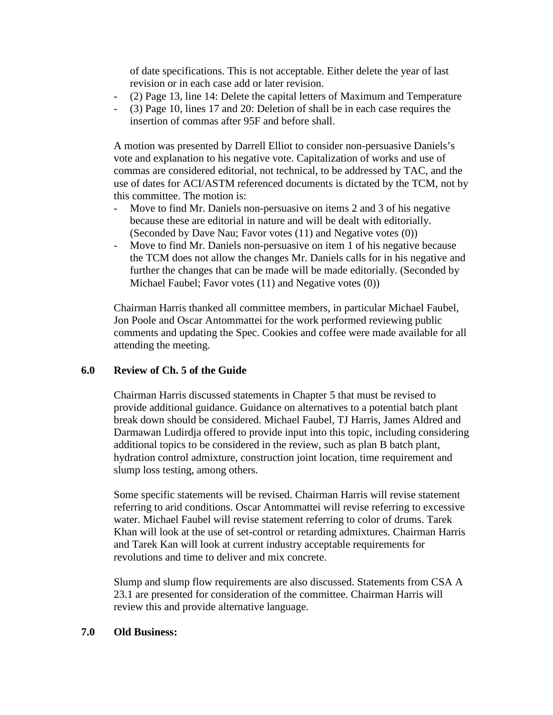of date specifications. This is not acceptable. Either delete the year of last revision or in each case add or later revision.

- (2) Page 13, line 14: Delete the capital letters of Maximum and Temperature
- (3) Page 10, lines 17 and 20: Deletion of shall be in each case requires the insertion of commas after 95F and before shall.

A motion was presented by Darrell Elliot to consider non-persuasive Daniels's vote and explanation to his negative vote. Capitalization of works and use of commas are considered editorial, not technical, to be addressed by TAC, and the use of dates for ACI/ASTM referenced documents is dictated by the TCM, not by this committee. The motion is:

- Move to find Mr. Daniels non-persuasive on items 2 and 3 of his negative because these are editorial in nature and will be dealt with editorially. (Seconded by Dave Nau; Favor votes (11) and Negative votes (0))
- Move to find Mr. Daniels non-persuasive on item 1 of his negative because the TCM does not allow the changes Mr. Daniels calls for in his negative and further the changes that can be made will be made editorially. (Seconded by Michael Faubel; Favor votes (11) and Negative votes (0))

Chairman Harris thanked all committee members, in particular Michael Faubel, Jon Poole and Oscar Antommattei for the work performed reviewing public comments and updating the Spec. Cookies and coffee were made available for all attending the meeting.

# **6.0 Review of Ch. 5 of the Guide**

Chairman Harris discussed statements in Chapter 5 that must be revised to provide additional guidance. Guidance on alternatives to a potential batch plant break down should be considered. Michael Faubel, TJ Harris, James Aldred and Darmawan Ludirdja offered to provide input into this topic, including considering additional topics to be considered in the review, such as plan B batch plant, hydration control admixture, construction joint location, time requirement and slump loss testing, among others.

Some specific statements will be revised. Chairman Harris will revise statement referring to arid conditions. Oscar Antommattei will revise referring to excessive water. Michael Faubel will revise statement referring to color of drums. Tarek Khan will look at the use of set-control or retarding admixtures. Chairman Harris and Tarek Kan will look at current industry acceptable requirements for revolutions and time to deliver and mix concrete.

Slump and slump flow requirements are also discussed. Statements from CSA A 23.1 are presented for consideration of the committee. Chairman Harris will review this and provide alternative language.

#### **7.0 Old Business:**